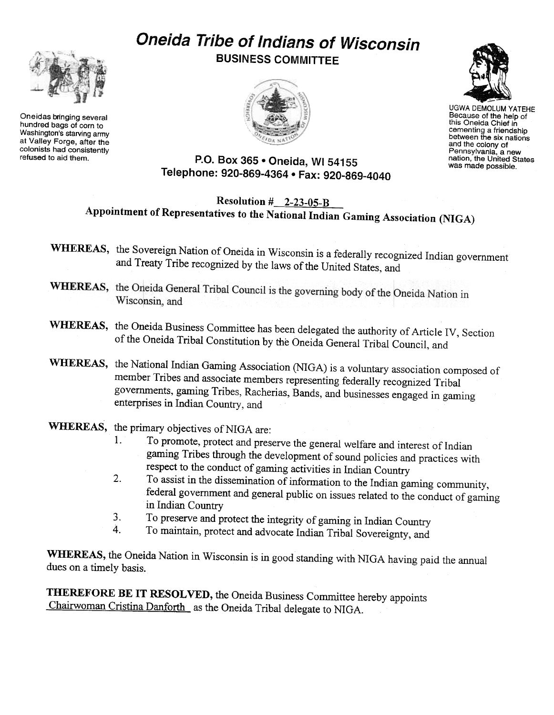# Oneida Tribe of Indians of Wisconsin



Oneidas bringing several hundred bags of corn to Washington's starving army at Valley Forge, after the colonists had consistently<br>refused to aid them.

BUSINESS COMMITTEE





UGWA DEMOLUM YATEHE Because of the help of this Oneida Chief in cementing a friendship<br>between the six nation and the colony of Pennsylvania, a new nation, the United States was made possible.

#### P.O. Box 365 . Oneida, WI 54155 Telephone: 920-869-4364 · Fax: 920-869-4040

## Resolution  $\#$  2-23-05-B Appointment of Representatives to the National Indian Gaming Association (NIGA)

- WHEREAS, the Sovereign Nation of Oneida in Wisconsin is a federally recognized Indian government and Treaty Tribe recognized by the laws of the United States, and
- WHEREAS, the Oneida General Tribal Council is the governing body of the Oneida Nation in Wisconsin, and
- WHEREAS, the Oneida Business Committee has been delegated the authority of Article IV, Section of the Oneida Tribal Constitution by the Oneida General Tribal Council, and
- WHEREAS, the National Indian Gaming Association (NIGA) is a voluntary association composed of member Tribes and associate members representing federally recognized Tribal governments, gaming Tribes, Racherias, Bands, and businesses engaged in gaming enterprises in Indian Country, and

## WHEREAS, the primary objectives of NIGA are:

- 1. To promote, protect and preserve the general welfare and interest of Indian gaming Tribes through the development of sound policies and practices with respect to the conduct of gaming activities in Indian Country
- 2. To assist in the dissemination of information to the Indian gaming community, federal government and general public on issues related to the conduct of gaming in Indian Country
- 3. To preserve and protect the integrity of gaming in Indian Country
- 4. To maintain, protect and advocate Indian Tribal Sovereignty, and

WHEREAS, the Oneida Nation in Wisconsin is in good standing with NIGA having paid the annual dues on a timely basis.

THEREFORE BE IT RESOLVED, the Oneida Business Committee hereby appoints Chairwoman Cristina Danforth as the Oneida Tribal delegate to NIGA.